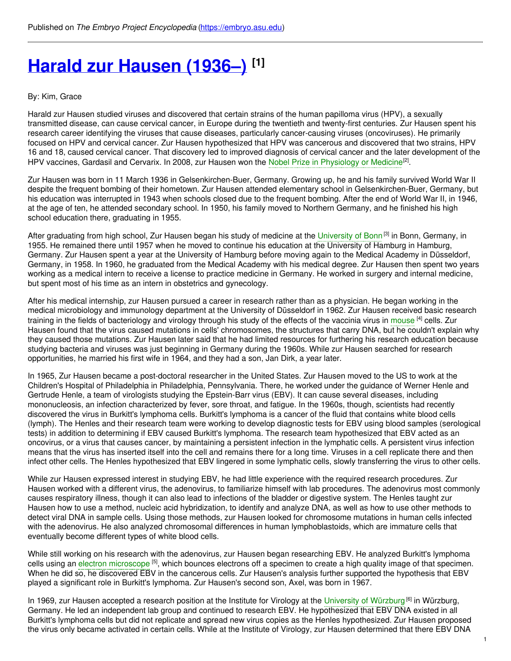# **Harald zur [Hausen](https://embryo.asu.edu/pages/harald-zur-hausen-1936) (1936–) [1]**

#### By: Kim, Grace

Harald zur Hausen studied viruses and discovered that certain strains of the human papilloma virus (HPV), a sexually transmitted disease, can cause cervical cancer, in Europe during the twentieth and twenty-first centuries. Zur Hausen spent his research career identifying the viruses that cause diseases, particularly cancer-causing viruses (oncoviruses). He primarily focused on HPV and cervical cancer. Zur Hausen hypothesized that HPV was cancerous and discovered that two strains, HPV 16 and 18, caused cervical cancer. That discovery led to improved diagnosis of cervical cancer and the later development of the HPV vaccines, Gardasil and Cervarix. In 2008, zur Hausen won the Nobel Prize in [Physiology](https://embryo.asu.edu/search?text=Nobel%20Prize%20in%20Physiology%20or%20Medicine) or Medicine<sup>[2]</sup>.

Zur Hausen was born in 11 March 1936 in Gelsenkirchen-Buer, Germany. Growing up, he and his family survived World War II despite the frequent bombing of their hometown. Zur Hausen attended elementary school in Gelsenkirchen-Buer, Germany, but his education was interrupted in 1943 when schools closed due to the frequent bombing. After the end of World War II, in 1946, at the age of ten, he attended secondary school. In 1950, his family moved to Northern Germany, and he finished his high school education there, graduating in 1955.

After graduating from high school, Zur Hausen began his study of medicine at the [University](https://embryo.asu.edu/search?text=University%20of%20Bonn) of Bonn<sup> [3]</sup> in Bonn, Germany, in 1955. He remained there until 1957 when he moved to continue his education at the University of Hamburg in Hamburg, Germany. Zur Hausen spent a year at the University of Hamburg before moving again to the Medical Academy in Düsseldorf, Germany, in 1958. In 1960, he graduated from the Medical Academy with his medical degree. Zur Hausen then spent two years working as a medical intern to receive a license to practice medicine in Germany. He worked in surgery and internal medicine, but spent most of his time as an intern in obstetrics and gynecology.

After his medical internship, zur Hausen pursued a career in research rather than as a physician. He began working in the medical microbiology and immunology department at the University of Düsseldorf in 1962. Zur Hausen received basic research training in the fields of bacteriology and virology through his study of the effects of the vaccinia virus in [mouse](https://embryo.asu.edu/search?text=mouse) <sup>[4]</sup> cells. Zur Hausen found that the virus caused mutations in cells' chromosomes, the structures that carry DNA, but he couldn't explain why they caused those mutations. Zur Hausen later said that he had limited resources for furthering his research education because studying bacteria and viruses was just beginning in Germany during the 1960s. While zur Hausen searched for research opportunities, he married his first wife in 1964, and they had a son, Jan Dirk, a year later.

In 1965, Zur Hausen became a post-doctoral researcher in the United States. Zur Hausen moved to the US to work at the Children's Hospital of Philadelphia in Philadelphia, Pennsylvania. There, he worked under the guidance of Werner Henle and Gertrude Henle, a team of virologists studying the Epstein-Barr virus (EBV). It can cause several diseases, including mononucleosis, an infection characterized by fever, sore throat, and fatigue. In the 1960s, though, scientists had recently discovered the virus in Burkitt's lymphoma cells. Burkitt's lymphoma is a cancer of the fluid that contains white blood cells (lymph). The Henles and their research team were working to develop diagnostic tests for EBV using blood samples (serological tests) in addition to determining if EBV caused Burkitt's lymphoma. The research team hypothesized that EBV acted as an oncovirus, or a virus that causes cancer, by maintaining a persistent infection in the lymphatic cells. A persistent virus infection means that the virus has inserted itself into the cell and remains there for a long time. Viruses in a cell replicate there and then infect other cells. The Henles hypothesized that EBV lingered in some lymphatic cells, slowly transferring the virus to other cells.

While zur Hausen expressed interest in studying EBV, he had little experience with the required research procedures. Zur Hausen worked with a different virus, the adenovirus, to familiarize himself with lab procedures. The adenovirus most commonly causes respiratory illness, though it can also lead to infections of the bladder or digestive system. The Henles taught zur Hausen how to use a method, nucleic acid hybridization, to identify and analyze DNA, as well as how to use other methods to detect viral DNA in sample cells. Using those methods, zur Hausen looked for chromosome mutations in human cells infected with the adenovirus. He also analyzed chromosomal differences in human lymphoblastoids, which are immature cells that eventually become different types of white blood cells.

While still working on his research with the adenovirus, zur Hausen began researching EBV. He analyzed Burkitt's lymphoma cells using an electron [microscope](https://embryo.asu.edu/search?text=electron%20microscope) <sup>[5]</sup>, which bounces electrons off a specimen to create a high quality image of that specimen. When he did so, he discovered EBV in the cancerous cells. Zur Hausen's analysis further supported the hypothesis that EBV played a significant role in Burkitt's lymphoma. Zur Hausen's second son, Axel, was born in 1967.

In 1969, zur Hausen accepted a research position at the Institute for Virology at the [University](https://embryo.asu.edu/search?text=University%20of%20W%25C3%25BCrzburg) of Würzburg <sup>[6]</sup> in Würzburg, Germany. He led an independent lab group and continued to research EBV. He hypothesized that EBV DNA existed in all Burkitt's lymphoma cells but did not replicate and spread new virus copies as the Henles hypothesized. Zur Hausen proposed the virus only became activated in certain cells. While at the Institute of Virology, zur Hausen determined that there EBV DNA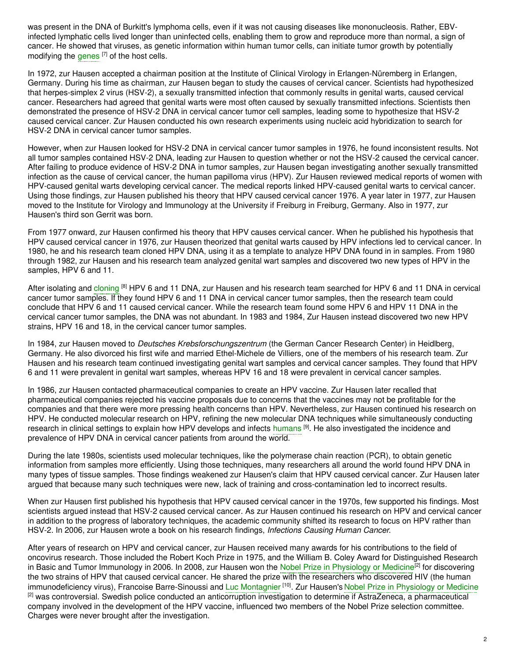was present in the DNA of Burkitt's lymphoma cells, even if it was not causing diseases like mononucleosis. Rather, EBVinfected lymphatic cells lived longer than uninfected cells, enabling them to grow and reproduce more than normal, a sign of cancer. He showed that viruses, as genetic information within human tumor cells, can initiate tumor growth by potentially modifying the [genes](https://embryo.asu.edu/search?text=genes) <sup>[7]</sup> of the host cells.

In 1972, zur Hausen accepted a chairman position at the Institute of Clinical Virology in Erlangen-Nüremberg in Erlangen, Germany. During his time as chairman, zur Hausen began to study the causes of cervical cancer. Scientists had hypothesized that herpes-simplex 2 virus (HSV-2), a sexually transmitted infection that commonly results in genital warts, caused cervical cancer. Researchers had agreed that genital warts were most often caused by sexually transmitted infections. Scientists then demonstrated the presence of HSV-2 DNA in cervical cancer tumor cell samples, leading some to hypothesize that HSV-2 caused cervical cancer. Zur Hausen conducted his own research experiments using nucleic acid hybridization to search for HSV-2 DNA in cervical cancer tumor samples.

However, when zur Hausen looked for HSV-2 DNA in cervical cancer tumor samples in 1976, he found inconsistent results. Not all tumor samples contained HSV-2 DNA, leading zur Hausen to question whether or not the HSV-2 caused the cervical cancer. After failing to produce evidence of HSV-2 DNA in tumor samples, zur Hausen began investigating another sexually transmitted infection as the cause of cervical cancer, the human papilloma virus (HPV). Zur Hausen reviewed medical reports of women with HPV-caused genital warts developing cervical cancer. The medical reports linked HPV-caused genital warts to cervical cancer. Using those findings, zur Hausen published his theory that HPV caused cervical cancer 1976. A year later in 1977, zur Hausen moved to the Institute for Virology and Immunology at the University if Freiburg in Freiburg, Germany. Also in 1977, zur Hausen's third son Gerrit was born.

From 1977 onward, zur Hausen confirmed his theory that HPV causes cervical cancer. When he published his hypothesis that HPV caused cervical cancer in 1976, zur Hausen theorized that genital warts caused by HPV infections led to cervical cancer. In 1980, he and his research team cloned HPV DNA, using it as a template to analyze HPV DNA found in in samples. From 1980 through 1982, zur Hausen and his research team analyzed genital wart samples and discovered two new types of HPV in the samples, HPV 6 and 11.

After isolating and [cloning](https://embryo.asu.edu/search?text=cloning) <sup>[8]</sup> HPV 6 and 11 DNA, zur Hausen and his research team searched for HPV 6 and 11 DNA in cervical cancer tumor samples. If they found HPV 6 and 11 DNA in cervical cancer tumor samples, then the research team could conclude that HPV 6 and 11 caused cervical cancer. While the research team found some HPV 6 and HPV 11 DNA in the cervical cancer tumor samples, the DNA was not abundant. In 1983 and 1984, Zur Hausen instead discovered two new HPV strains, HPV 16 and 18, in the cervical cancer tumor samples.

In 1984, zur Hausen moved to *Deutsches Krebsforschungszentrum* (the German Cancer Research Center) in Heidlberg, Germany. He also divorced his first wife and married Ethel-Michele de Villiers, one of the members of his research team. Zur Hausen and his research team continued investigating genital wart samples and cervical cancer samples. They found that HPV 6 and 11 were prevalent in genital wart samples, whereas HPV 16 and 18 were prevalent in cervical cancer samples.

In 1986, zur Hausen contacted pharmaceutical companies to create an HPV vaccine. Zur Hausen later recalled that pharmaceutical companies rejected his vaccine proposals due to concerns that the vaccines may not be profitable for the companies and that there were more pressing health concerns than HPV. Nevertheless, zur Hausen continued his research on HPV. He conducted molecular research on HPV, refining the new molecular DNA techniques while simultaneously conducting research in clinical settings to explain how HPV develops and infects [humans](https://embryo.asu.edu/search?text=humans)  $^{[9]}$ . He also investigated the incidence and prevalence of HPV DNA in cervical cancer patients from around the world.

During the late 1980s, scientists used molecular techniques, like the polymerase chain reaction (PCR), to obtain genetic information from samples more efficiently. Using those techniques, many researchers all around the world found HPV DNA in many types of tissue samples. Those findings weakened zur Hausen's claim that HPV caused cervical cancer. Zur Hausen later argued that because many such techniques were new, lack of training and cross-contamination led to incorrect results.

When zur Hausen first published his hypothesis that HPV caused cervical cancer in the 1970s, few supported his findings. Most scientists argued instead that HSV-2 caused cervical cancer. As zur Hausen continued his research on HPV and cervical cancer in addition to the progress of laboratory techniques, the academic community shifted its research to focus on HPV rather than HSV-2. In 2006, zur Hausen wrote a book on his research findings, *Infections Causing Human Cancer*.

After years of research on HPV and cervical cancer, zur Hausen received many awards for his contributions to the field of oncovirus research. Those included the Robert Koch Prize in 1975, and the William B. Coley Award for Distinguished Research in Basic and Tumor Immunology in 2006. In 2008, zur Hausen won the Nobel Prize in [Physiology](https://embryo.asu.edu/search?text=Nobel%20Prize%20in%20Physiology%20or%20Medicine) or Medicine<sup>[2]</sup> for discovering the two strains of HPV that caused cervical cancer. He shared the prize with the researchers who discovered HIV (the human immunodeficiency virus), Francoise Barre-Sinoussi and Luc [Montagnier](https://embryo.asu.edu/search?text=Luc%20Montagnier) <sup>[10]</sup>. Zur Hausen's Nobel Prize in [Physiology](https://embryo.asu.edu/search?text=Nobel%20Prize%20in%20Physiology%20or%20Medicine) or Medicine <sup>[2]</sup> was controversial. Swedish police conducted an anticorruption investigation to determine if AstraZeneca, a pharmaceutical company involved in the development of the HPV vaccine, influenced two members of the Nobel Prize selection committee. Charges were never brought after the investigation.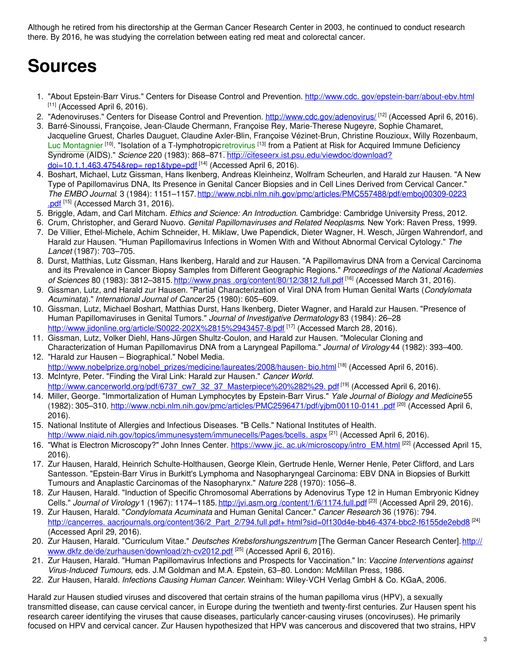Although he retired from his directorship at the German Cancer Research Center in 2003, he continued to conduct research there. By 2016, he was studying the correlation between eating red meat and colorectal cancer.

# **Sources**

- 1. "About Epstein-Barr Virus." Centers for Disease Control and Prevention. http://www.cdc. [gov/epstein-barr/about-ebv.html](http://www.cdc.gov/epstein-barr/about-ebv.html)  $[11]$  (Accessed April 6, 2016).
- 2. "Adenoviruses." Centers for Disease Control and Prevention. <http://www.cdc.gov/adenovirus/> <sup>[12]</sup> (Accessed April 6, 2016).
- 3. Barré-Sinoussi, Françoise, Jean-Claude Chermann, Françoise Rey, Marie-Therese Nugeyre, Sophie Chamaret, Jacqueline Gruest, Charles Dauguet, Claudine Axler-Blin, Françoise Vézinet-Brun, Christine Rouzioux, Willy Rozenbaum, Luc [Montagnier](https://embryo.asu.edu/search?text=Luc%20Montagnier) <sup>[10]</sup>. "Isolation of a T-lymphotropic[retrovirus](https://embryo.asu.edu/search?text=retrovirus) <sup>[13]</sup> from a Patient at Risk for Acquired Immune Deficiency Syndrome (AIDS)." *Science* 220 (1983): 868–871. [http://citeseerx.ist.psu.edu/viewdoc/download?](http://citeseerx.ist.psu.edu/viewdoc/download?doi=10.1.1.463.4754&rep=%0Arep1&type=pdf) <u>doi=10.1.1.463.4754&rep= rep1&type=pdf</u><sup>[14]</sup> (Accessed April 6, 2016).
- 4. Boshart, Michael, Lutz Gissman, Hans Ikenberg, Andreas Kleinheinz, Wolfram Scheurlen, and Harald zur Hausen. "A New Type of Papillomavirus DNA, Its Presence in Genital Cancer Biopsies and in Cell Lines Derived from Cervical Cancer." *The EMBO Journal*. 3 (1984): 1151–1157. [http://www.ncbi.nlm.nih.gov/pmc/articles/PMC557488/pdf/emboj00309-0223](http://www.ncbi.nlm.nih.gov/pmc/articles/PMC557488/pdf/emboj00309-0223%0A.pdf) .pdf<sup>[15]</sup> (Accessed March 31, 2016).
- 5. Briggle, Adam, and Carl Mitcham. *Ethics and Science: An Introduction*. Cambridge: Cambridge University Press, 2012.
- 6. Crum, Christopher, and Gerard Nuovo. *Genital Papillomaviruses and Related Neoplasms*. New York: Raven Press, 1999.
- 7. De Villier, Ethel-Michele, Achim Schneider, H. Miklaw, Uwe Papendick, Dieter Wagner, H. Wesch, Jürgen Wahrendorf, and Harald zur Hausen. "Human Papillomavirus Infections in Women With and Without Abnormal Cervical Cytology." *The Lancet* (1987): 703–705.
- 8. Durst, Matthias, Lutz Gissman, Hans Ikenberg, Harald and zur Hausen. "A Papillomavirus DNA from a Cervical Carcinoma and its Prevalence in Cancer Biopsy Samples from Different Geographic Regions." *Proceedings of the National Academies of Sciences* 80 (1983): 3812–3815. http://www.pnas [.org/content/80/12/3812.full.pdf](http://www.pnas.org/content/80/12/3812.full.pdf) [16] (Accessed March 31, 2016).
- 9. Gissman, Lutz, and Harald zur Hausen. "Partial Characterization of Viral DNA from Human Genital Warts (*Condylomata Acuminata*)." *International Journal of Cancer* 25 (1980): 605–609.
- 10. Gissman, Lutz, Michael Boshart, Matthias Durst, Hans Ikenberg, Dieter Wagner, and Harald zur Hausen. "Presence of Human Papillomaviruses in Genital Tumors." *Journal of Investigative Dermatology* 83 (1984): 26–28 [http://www.jidonline.org/article/S0022-202X%2815%2943457-8/pdf](http://www.jidonline.org/article/S0022-202X%252815%252943457-8/pdf) [17] (Accessed March 28, 2016).
- 11. Gissman, Lutz, Volker Diehl, Hans-Jürgen Shultz-Coulon, and Harald zur Hausen. "Molecular Cloning and Characterization of Human Papillomavirus DNA from a Laryngeal Papilloma." *Journal of Virology* 44 (1982): 393–400.
- 12. "Harald zur Hausen Biographical." Nobel Media. [http://www.nobelprize.org/nobel\\_prizes/medicine/laureates/2008/hausen-](http://www.nobelprize.org/nobel_prizes/medicine/laureates/2008/hausen-%0Abio.html) bio.html <sup>[18]</sup> (Accessed April 6, 2016).
- 13. McIntyre, Peter. "Finding the Viral Link: Harald zur Hausen." *Cancer World*. [http://www.cancerworld.org/pdf/6737\\_cw7\\_32\\_37\\_Masterpiece%20%282%29.](http://www.cancerworld.org/pdf/6737_cw7_32_37_Masterpiece%20%25282%2529.%0Apdf) pdf<sup>[19]</sup> (Accessed April 6, 2016).
- 14. Miller, George. "Immortalization of Human Lymphocytes by Epstein-Barr Virus." *Yale Journal of Biology and Medicine*55 (1982): 305–310. <u>[http://www.ncbi.nlm.nih.gov/pmc/articles/PMC2596471/pdf/yjbm00110-0141](http://www.ncbi.nlm.nih.gov/pmc/articles/PMC2596471/pdf/yjbm00110-0141%0A.pdf) .pdf <sup>[20]</sup> (Accessed April 6,</u> 2016).
- 15. National Institute of Allergies and Infectious Diseases. "B Cells." National Institutes of Health. [http://www.niaid.nih.gov/topics/immunesystem/immunecells/Pages/bcells.](http://www.niaid.nih.gov/topics/immunesystem/immunecells/Pages/bcells.%0Aaspx) aspx <sup>[21]</sup> (Accessed April 6, 2016).
- 16. "What is Electron Microscopy?" John Innes Center. https://www.jic. [ac.uk/microscopy/intro\\_EM.html](https://www.jic.ac.uk/microscopy/intro_EM.html) [22] (Accessed April 15, 2016).
- 17. Zur Hausen, Harald, Heinrich Schulte-Holthausen, George Klein, Gertrude Henle, Werner Henle, Peter Clifford, and Lars Santesson. "Epstein-Barr Virus in Burkitt's Lymphoma and Nasopharyngeal Carcinoma: EBV DNA in Biopsies of Burkitt Tumours and Anaplastic Carcinomas of the Nasopharynx." *Nature* 228 (1970): 1056–8.
- 18. Zur Hausen, Harald. "Induction of Specific Chromosomal Aberrations by Adenovirus Type 12 in Human Embryonic Kidney Cells." Journal of Virology 1 (1967): 1174–1185. http://jvi.asm.org [/content/1/6/1174.full.pdf](http://jvi.asm.org/content/1/6/1174.full.pdf) <sup>[23]</sup> (Accessed April 29, 2016).
- 19. Zur Hausen, Harald. "*Condylomata Acuminata* and Human Genital Cancer." *Cancer Research* 36 (1976): 794. http://cancerres. aacrjournals.org/content/36/2\_Part\_2/794.full.pdf+ [html?sid=0f130d4e-bb46-4374-bbc2-f6155de2ebd8](http://cancerres.aacrjournals.org/content/36/2_Part_2/794.full.%0Apdf+%0Ahtml?sid=0f130d4e-bb46-4374-bbc2-f6155de2ebd8) <sup>[24]</sup> (Accessed April 29, 2016).
- 20. Zur Hausen, Harald. "Curriculum Vitae." *Deutsches Krebsforshungszentrum* [The German Cancer Research Center]. http:// [www.dkfz.de/de/zurhausen/download/zh-cv2012.pdf](http://www.dkfz.de/de/zurhausen/download/zh-cv2012.pdf) [25] (Accessed April 6, 2016).
- 21. Zur Hausen, Harald. "Human Papillomavirus Infections and Prospects for Vaccination." In: *Vaccine Interventions against Virus-Induced Tumours*, eds. J.M Goldman and M.A. Epstein, 63–80. London: McMillan Press, 1986.
- 22. Zur Hausen, Harald. *Infections Causing Human Cancer*. Weinham: Wiley-VCH Verlag GmbH & Co. KGaA, 2006.

Harald zur Hausen studied viruses and discovered that certain strains of the human papilloma virus (HPV), a sexually transmitted disease, can cause cervical cancer, in Europe during the twentieth and twenty-first centuries. Zur Hausen spent his research career identifying the viruses that cause diseases, particularly cancer-causing viruses (oncoviruses). He primarily focused on HPV and cervical cancer. Zur Hausen hypothesized that HPV was cancerous and discovered that two strains, HPV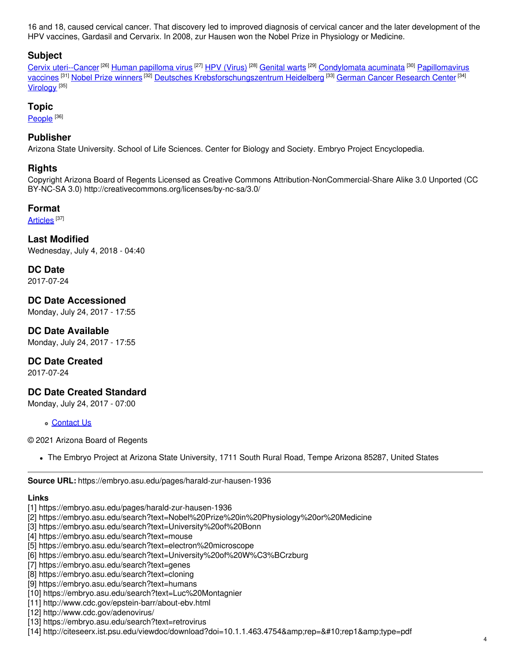16 and 18, caused cervical cancer. That discovery led to improved diagnosis of cervical cancer and the later development of the HPV vaccines, Gardasil and Cervarix. In 2008, zur Hausen won the Nobel Prize in Physiology or Medicine.

# **Subject**

Cervix [uteri--Cancer](https://embryo.asu.edu/library-congress-subject-headings/cervix-uteri-cancer) <sup>[26]</sup> Human [papilloma](https://embryo.asu.edu/library-congress-subject-headings/human-papilloma-virus) virus <sup>[27]</sup> HPV [\(Virus\)](https://embryo.asu.edu/library-congress-subject-headings/hpv-virus) <sup>[28]</sup> [Genital](https://embryo.asu.edu/library-congress-subject-headings/genital-warts) warts <sup>[29]</sup> [Condylomata](https://embryo.asu.edu/library-congress-subject-headings/condylomata-acuminata) acuminata <sup>[30]</sup> Papillomavirus vaccines <sup>[31]</sup> Nobel Prize [winners](https://embryo.asu.edu/library-congress-subject-headings/nobel-prize-winners) <sup>[32]</sup> Deutsches [Krebsforschungszentrum](https://embryo.asu.edu/library-congress-subject-headings/papillomavirus-vaccines) Heidelberg <sup>[33]</sup> German Cancer [Research](https://embryo.asu.edu/library-congress-subject-headings/german-cancer-research-center) Center <sup>[34]</sup> <u>[Virology](https://embryo.asu.edu/library-congress-subject-headings/virology)</u> [<sup>35]</sup>

### **Topic**

<u>[People](https://embryo.asu.edu/topics/people)  $^{[36]}$ </u>

## **Publisher**

Arizona State University. School of Life Sciences. Center for Biology and Society. Embryo Project Encyclopedia.

#### **Rights**

Copyright Arizona Board of Regents Licensed as Creative Commons Attribution-NonCommercial-Share Alike 3.0 Unported (CC BY-NC-SA 3.0) http://creativecommons.org/licenses/by-nc-sa/3.0/

#### **Format**

[Articles](https://embryo.asu.edu/formats/articles) <sup>[37]</sup>

**Last Modified** Wednesday, July 4, 2018 - 04:40

**DC Date** 2017-07-24

**DC Date Accessioned** Monday, July 24, 2017 - 17:55

**DC Date Available** Monday, July 24, 2017 - 17:55

#### **DC Date Created**

2017-07-24

# **DC Date Created Standard**

Monday, July 24, 2017 - 07:00

**c** [Contact](https://embryo.asu.edu/contact) Us

© 2021 Arizona Board of Regents

The Embryo Project at Arizona State University, 1711 South Rural Road, Tempe Arizona 85287, United States

**Source URL:** https://embryo.asu.edu/pages/harald-zur-hausen-1936

#### **Links**

- [1] https://embryo.asu.edu/pages/harald-zur-hausen-1936
- [2] https://embryo.asu.edu/search?text=Nobel%20Prize%20in%20Physiology%20or%20Medicine
- [3] https://embryo.asu.edu/search?text=University%20of%20Bonn
- [4] https://embryo.asu.edu/search?text=mouse
- [5] https://embryo.asu.edu/search?text=electron%20microscope
- [6] https://embryo.asu.edu/search?text=University%20of%20W%C3%BCrzburg
- [7] https://embryo.asu.edu/search?text=genes
- [8] https://embryo.asu.edu/search?text=cloning
- [9] https://embryo.asu.edu/search?text=humans
- [10] https://embryo.asu.edu/search?text=Luc%20Montagnier
- [11] http://www.cdc.gov/epstein-barr/about-ebv.html
- [12] http://www.cdc.gov/adenovirus/
- [13] https://embryo.asu.edu/search?text=retrovirus
- $[14]$  http://citeseerx.ist.psu.edu/viewdoc/download?doi=10.1.1.463.4754&rep=
rep1&type=pdf